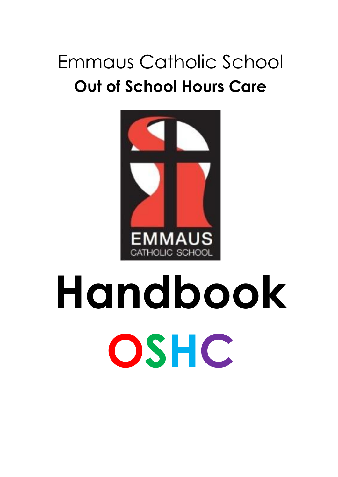# Emmaus Catholic School **Out of School Hours Care**



# **Handbook OSHC**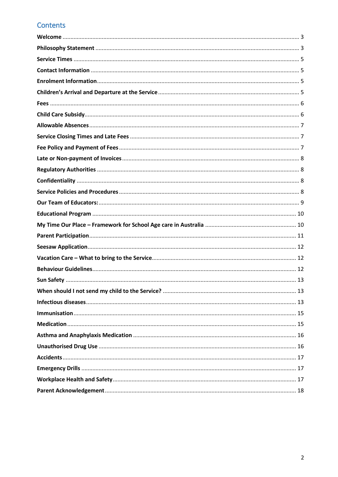# Contents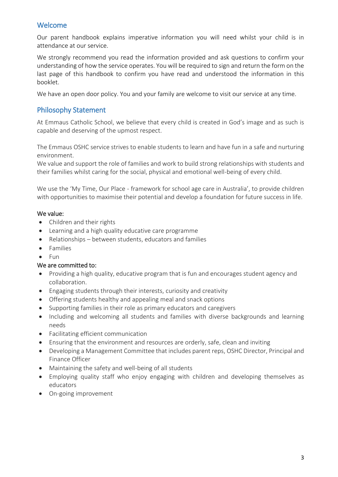# <span id="page-2-0"></span>Welcome

Our parent handbook explains imperative information you will need whilst your child is in attendance at our service.

We strongly recommend you read the information provided and ask questions to confirm your understanding of how the service operates. You will be required to sign and return the form on the last page of this handbook to confirm you have read and understood the information in this booklet.

We have an open door policy. You and your family are welcome to visit our service at any time.

# <span id="page-2-1"></span>Philosophy Statement

At Emmaus Catholic School, we believe that every child is created in God's image and as such is capable and deserving of the upmost respect.

The Emmaus OSHC service strives to enable students to learn and have fun in a safe and nurturing environment.

We value and support the role of families and work to build strong relationships with students and their families whilst caring for the social, physical and emotional well-being of every child.

We use the 'My Time, Our Place - framework for school age care in Australia', to provide children with opportunities to maximise their potential and develop a foundation for future success in life.

#### We value:

- Children and their rights
- Learning and a high quality educative care programme
- Relationships between students, educators and families
- Families
- Fun

#### We are committed to:

- Providing a high quality, educative program that is fun and encourages student agency and collaboration.
- Engaging students through their interests, curiosity and creativity
- Offering students healthy and appealing meal and snack options
- Supporting families in their role as primary educators and caregivers
- Including and welcoming all students and families with diverse backgrounds and learning needs
- Facilitating efficient communication
- Ensuring that the environment and resources are orderly, safe, clean and inviting
- Developing a Management Committee that includes parent reps, OSHC Director, Principal and Finance Officer
- Maintaining the safety and well-being of all students
- Employing quality staff who enjoy engaging with children and developing themselves as educators
- On-going improvement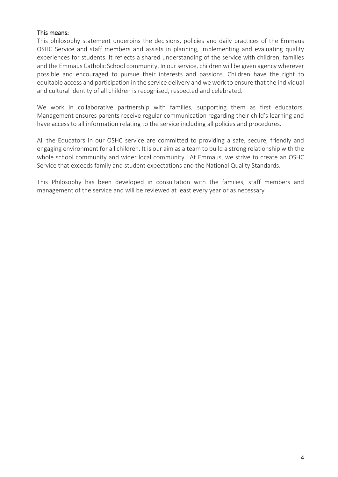#### This means:

This philosophy statement underpins the decisions, policies and daily practices of the Emmaus OSHC Service and staff members and assists in planning, implementing and evaluating quality experiences for students. It reflects a shared understanding of the service with children, families and the Emmaus Catholic School community. In our service, children will be given agency wherever possible and encouraged to pursue their interests and passions. Children have the right to equitable access and participation in the service delivery and we work to ensure that the individual and cultural identity of all children is recognised, respected and celebrated.

We work in collaborative partnership with families, supporting them as first educators. Management ensures parents receive regular communication regarding their child's learning and have access to all information relating to the service including all policies and procedures.

All the Educators in our OSHC service are committed to providing a safe, secure, friendly and engaging environment for all children. It is our aim as a team to build a strong relationship with the whole school community and wider local community. At Emmaus, we strive to create an OSHC Service that exceeds family and student expectations and the National Quality Standards.

This Philosophy has been developed in consultation with the families, staff members and management of the service and will be reviewed at least every year or as necessary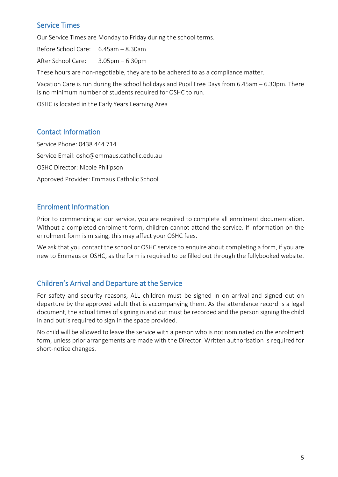# <span id="page-4-0"></span>Service Times

Our Service Times are Monday to Friday during the school terms.

Before School Care: 6.45am – 8.30am

After School Care: 3.05pm – 6.30pm

These hours are non-negotiable, they are to be adhered to as a compliance matter.

Vacation Care is run during the school holidays and Pupil Free Days from 6.45am – 6.30pm. There is no minimum number of students required for OSHC to run.

OSHC is located in the Early Years Learning Area

# <span id="page-4-1"></span>Contact Information

Service Phone: 0438 444 714 Service Email: [oshc@emmaus.catholic.edu.au](mailto:oshc@emmaus.catholic.edu.au) OSHC Director: Nicole Philipson Approved Provider: Emmaus Catholic School

# <span id="page-4-2"></span>Enrolment Information

Prior to commencing at our service, you are required to complete all enrolment documentation. Without a completed enrolment form, children cannot attend the service. If information on the enrolment form is missing, this may affect your OSHC fees.

We ask that you contact the school or OSHC service to enquire about completing a form, if you are new to Emmaus or OSHC, as the form is required to be filled out through the fullybooked website.

# <span id="page-4-3"></span>Children's Arrival and Departure at the Service

For safety and security reasons, ALL children must be signed in on arrival and signed out on departure by the approved adult that is accompanying them. As the attendance record is a legal document, the actual times of signing in and out must be recorded and the person signing the child in and out is required to sign in the space provided.

No child will be allowed to leave the service with a person who is not nominated on the enrolment form, unless prior arrangements are made with the Director. Written authorisation is required for short-notice changes.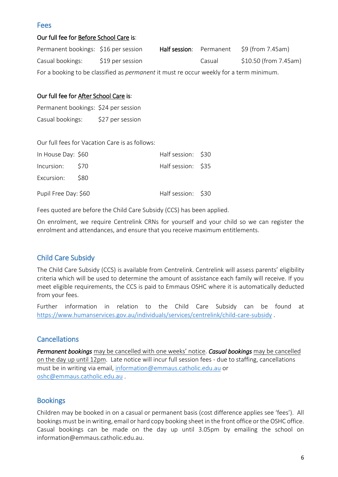#### <span id="page-5-0"></span>Fees

#### Our full fee for Before School Care is:

| Permanent bookings: \$16 per session                                                           |                  | Half session: Permanent |        | \$9 (from 7.45am)     |
|------------------------------------------------------------------------------------------------|------------------|-------------------------|--------|-----------------------|
| Casual bookings:                                                                               | \$19 per session |                         | Casual | \$10.50 (from 7.45am) |
| For a booking to be classified as <i>permanent</i> it must re occur weekly for a term minimum. |                  |                         |        |                       |

## Our full fee for After School Care is:

Permanent bookings: \$24 per session Casual bookings: \$27 per session

Our full fees for Vacation Care is as follows:

| In House Day: \$60   | Half session: \$30 |  |
|----------------------|--------------------|--|
| Incursion: \$70      | Half session: \$35 |  |
| Excursion: \$80      |                    |  |
| Pupil Free Day: \$60 | Half session: \$30 |  |

Fees quoted are before the Child Care Subsidy (CCS) has been applied.

On enrolment, we require Centrelink CRNs for yourself and your child so we can register the enrolment and attendances, and ensure that you receive maximum entitlements.

# <span id="page-5-1"></span>Child Care Subsidy

The Child Care Subsidy (CCS) is available from Centrelink. Centrelink will assess parents' eligibility criteria which will be used to determine the amount of assistance each family will receive. If you meet eligible requirements, the CCS is paid to Emmaus OSHC where it is automatically deducted from your fees.

Further information in relation to the Child Care Subsidy can be found at <https://www.humanservices.gov.au/individuals/services/centrelink/child-care-subsidy> .

# **Cancellations**

*Permanent bookings* may be cancelled with one weeks' notice. *Casual bookings* may be cancelled on the day up until 12pm. Late notice will incur full session fees - due to staffing, cancellations must be in writing via email, [information@emmaus.catholic.edu.au](mailto:information@emmaus.catholic.edu.au) or [oshc@emmaus.catholic.edu.](mailto:oshc@emmaus.catholic.edu)au .

# **Bookings**

Children may be booked in on a casual or permanent basis (cost difference applies see 'fees'). All bookings must be in writing, email or hard copy booking sheet in the front office or the OSHC office. Casual bookings can be made on the day up until 3.05pm by emailing the school on information@emmaus.catholic.edu.au.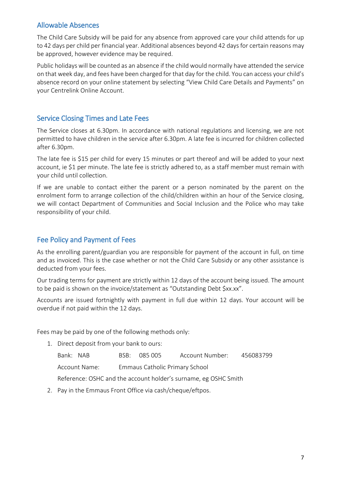# <span id="page-6-0"></span>Allowable Absences

The Child Care Subsidy will be paid for any absence from approved care your child attends for up to 42 days per child per financial year. Additional absences beyond 42 days for certain reasons may be approved, however evidence may be required.

Public holidays will be counted as an absence if the child would normally have attended the service on that week day, and fees have been charged for that day for the child. You can access your child's absence record on your online statement by selecting "View Child Care Details and Payments" on your Centrelink Online Account.

# <span id="page-6-1"></span>Service Closing Times and Late Fees

The Service closes at 6.30pm. In accordance with national regulations and licensing, we are not permitted to have children in the service after 6.30pm. A late fee is incurred for children collected after 6.30pm.

The late fee is \$15 per child for every 15 minutes or part thereof and will be added to your next account, ie \$1 per minute. The late fee is strictly adhered to, as a staff member must remain with your child until collection.

If we are unable to contact either the parent or a person nominated by the parent on the enrolment form to arrange collection of the child/children within an hour of the Service closing, we will contact Department of Communities and Social Inclusion and the Police who may take responsibility of your child.

# <span id="page-6-2"></span>Fee Policy and Payment of Fees

As the enrolling parent/guardian you are responsible for payment of the account in full, on time and as invoiced. This is the case whether or not the Child Care Subsidy or any other assistance is deducted from your fees.

Our trading terms for payment are strictly within 12 days of the account being issued. The amount to be paid is shown on the invoice/statement as "Outstanding Debt \$xx.xx".

Accounts are issued fortnightly with payment in full due within 12 days. Your account will be overdue if not paid within the 12 days.

Fees may be paid by one of the following methods only:

1. Direct deposit from your bank to ours:

Bank: NAB BSB: 085 005 Account Number: 456083799

Account Name: Emmaus Catholic Primary School

Reference: OSHC and the account holder's surname, eg OSHC Smith

2. Pay in the Emmaus Front Office via cash/cheque/eftpos.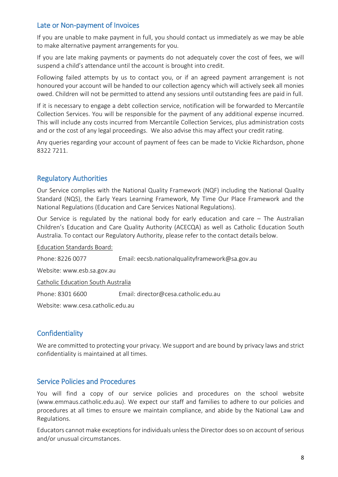# <span id="page-7-0"></span>Late or Non-payment of Invoices

If you are unable to make payment in full, you should contact us immediately as we may be able to make alternative payment arrangements for you.

If you are late making payments or payments do not adequately cover the cost of fees, we will suspend a child's attendance until the account is brought into credit.

Following failed attempts by us to contact you, or if an agreed payment arrangement is not honoured your account will be handed to our collection agency which will actively seek all monies owed. Children will not be permitted to attend any sessions until outstanding fees are paid in full.

If it is necessary to engage a debt collection service, notification will be forwarded to Mercantile Collection Services. You will be responsible for the payment of any additional expense incurred. This will include any costs incurred from Mercantile Collection Services, plus administration costs and or the cost of any legal proceedings. We also advise this may affect your credit rating.

Any queries regarding your account of payment of fees can be made to Vickie Richardson, phone 8322 7211.

# <span id="page-7-1"></span>Regulatory Authorities

Our Service complies with the National Quality Framework (NQF) including the National Quality Standard (NQS), the Early Years Learning Framework, My Time Our Place Framework and the National Regulations (Education and Care Services National Regulations).

Our Service is regulated by the national body for early education and care – The Australian Children's Education and Care Quality Authority (ACECQA) as well as Catholic Education South Australia. To contact our Regulatory Authority, please refer to the contact details below.

Education Standards Board:

Phone: 8226 0077 Email: [eecsb.nationalqualityframework@sa.gov.au](mailto:eecsb.nationalqualityframework@sa.gov.au)

Website: [www.esb.sa.gov.au](http://www.esb.sa.gov.au/)

Catholic Education South Australia

Phone: 8301 6600 Email: [director@cesa.catholic.edu.au](mailto:director@cesa.catholic.edu.au)

Website: www.cesa.catholic.edu.au

#### <span id="page-7-2"></span>**Confidentiality**

We are committed to protecting your privacy. We support and are bound by privacy laws and strict confidentiality is maintained at all times.

#### <span id="page-7-3"></span>Service Policies and Procedures

You will find a copy of our service policies and procedures on the school website (www.emmaus.catholic.edu.au). We expect our staff and families to adhere to our policies and procedures at all times to ensure we maintain compliance, and abide by the National Law and Regulations.

Educators cannot make exceptions for individuals unless the Director doesso on account of serious and/or unusual circumstances.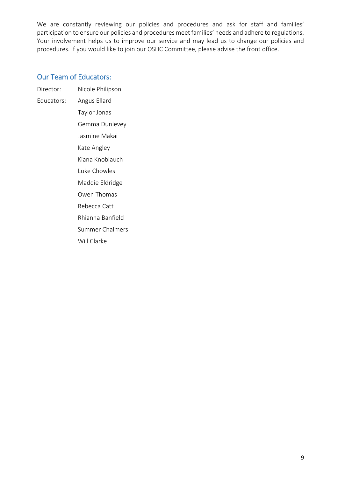We are constantly reviewing our policies and procedures and ask for staff and families' participation to ensure our policies and procedures meet families' needs and adhere to regulations. Your involvement helps us to improve our service and may lead us to change our policies and procedures. If you would like to join our OSHC Committee, please advise the front office.

# <span id="page-8-0"></span>Our Team of Educators:

- Director: Nicole Philipson
- Educators: Angus Ellard
	- Taylor Jonas Gemma Dunlevey Jasmine Makai Kate Angley Kiana Knoblauch Luke Chowles Maddie Eldridge Owen Thomas Rebecca Catt Rhianna Banfield Summer Chalmers Will Clarke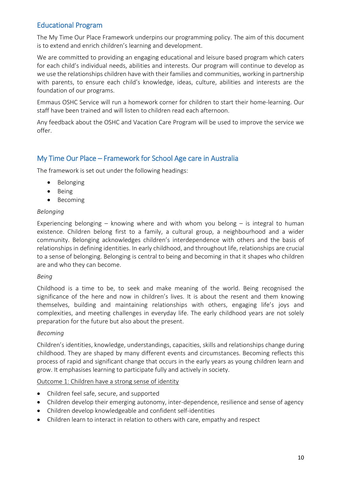# <span id="page-9-0"></span>Educational Program

The My Time Our Place Framework underpins our programming policy. The aim of this document is to extend and enrich children's learning and development.

We are committed to providing an engaging educational and leisure based program which caters for each child's individual needs, abilities and interests. Our program will continue to develop as we use the relationships children have with their families and communities, working in partnership with parents, to ensure each child's knowledge, ideas, culture, abilities and interests are the foundation of our programs.

Emmaus OSHC Service will run a homework corner for children to start their home-learning. Our staff have been trained and will listen to children read each afternoon.

Any feedback about the OSHC and Vacation Care Program will be used to improve the service we offer.

# <span id="page-9-1"></span>My Time Our Place – Framework for School Age care in Australia

The framework is set out under the following headings:

- Belonging
- Being
- Becoming

#### *Belonging*

Experiencing belonging – knowing where and with whom you belong – is integral to human existence. Children belong first to a family, a cultural group, a neighbourhood and a wider community. Belonging acknowledges children's interdependence with others and the basis of relationships in defining identities. In early childhood, and throughout life, relationships are crucial to a sense of belonging. Belonging is central to being and becoming in that it shapes who children are and who they can become.

#### *Being*

Childhood is a time to be, to seek and make meaning of the world. Being recognised the significance of the here and now in children's lives. It is about the resent and them knowing themselves, building and maintaining relationships with others, engaging life's joys and complexities, and meeting challenges in everyday life. The early childhood years are not solely preparation for the future but also about the present.

#### *Becoming*

Children's identities, knowledge, understandings, capacities, skills and relationships change during childhood. They are shaped by many different events and circumstances. Becoming reflects this process of rapid and significant change that occurs in the early years as young children learn and grow. It emphasises learning to participate fully and actively in society.

Outcome 1: Children have a strong sense of identity

- Children feel safe, secure, and supported
- Children develop their emerging autonomy, inter-dependence, resilience and sense of agency
- Children develop knowledgeable and confident self-identities
- Children learn to interact in relation to others with care, empathy and respect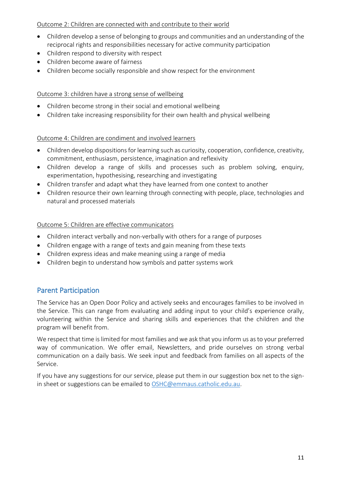#### Outcome 2: Children are connected with and contribute to their world

- Children develop a sense of belonging to groups and communities and an understanding of the reciprocal rights and responsibilities necessary for active community participation
- Children respond to diversity with respect
- Children become aware of fairness
- Children become socially responsible and show respect for the environment

#### Outcome 3: children have a strong sense of wellbeing

- Children become strong in their social and emotional wellbeing
- Children take increasing responsibility for their own health and physical wellbeing

#### Outcome 4: Children are condiment and involved learners

- Children develop dispositions for learning such as curiosity, cooperation, confidence, creativity, commitment, enthusiasm, persistence, imagination and reflexivity
- Children develop a range of skills and processes such as problem solving, enquiry, experimentation, hypothesising, researching and investigating
- Children transfer and adapt what they have learned from one context to another
- Children resource their own learning through connecting with people, place, technologies and natural and processed materials

#### Outcome 5: Children are effective communicators

- Children interact verbally and non-verbally with others for a range of purposes
- Children engage with a range of texts and gain meaning from these texts
- Children express ideas and make meaning using a range of media
- Children begin to understand how symbols and patter systems work

# <span id="page-10-0"></span>Parent Participation

The Service has an Open Door Policy and actively seeks and encourages families to be involved in the Service. This can range from evaluating and adding input to your child's experience orally, volunteering within the Service and sharing skills and experiences that the children and the program will benefit from.

We respect that time is limited for most families and we ask that you inform us as to your preferred way of communication. We offer email, Newsletters, and pride ourselves on strong verbal communication on a daily basis. We seek input and feedback from families on all aspects of the Service.

If you have any suggestions for our service, please put them in our suggestion box net to the signin sheet or suggestions can be emailed to [OSHC@emmaus.catholic.edu.au.](mailto:OSHC@emmaus.catholic.edu.au)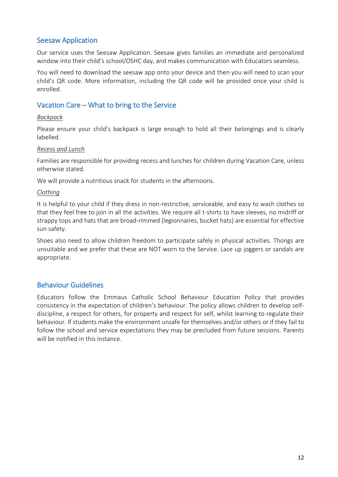# <span id="page-11-0"></span>Seesaw Application

Our service uses the Seesaw Application. Seesaw gives families an immediate and personalized window into their child's school/OSHC day, and makes communication with Educators seamless.

You will need to download the seesaw app onto your device and then you will need to scan your child's QR code. More information, including the QR code will be provided once your child is enrolled.

# <span id="page-11-1"></span>Vacation Care – What to bring to the Service

#### *Backpack*

Please ensure your child's backpack is large enough to hold all their belongings and is clearly labelled.

#### *Recess and Lunch*

Families are responsible for providing recess and lunches for children during Vacation Care, unless otherwise stated.

We will provide a nutritious snack for students in the afternoons.

#### *Clothing*

It is helpful to your child if they dress in non-restrictive, serviceable, and easy to wash clothes so that they feel free to join in all the activities. We require all t-shirts to have sleeves, no midriff or strappy tops and hats that are broad-rimmed (legionnaires, bucket hats) are essential for effective sun safety.

Shoes also need to allow children freedom to participate safely in physical activities. Thongs are unsuitable and we prefer that these are NOT worn to the Service. Lace up joggers or sandals are appropriate.

#### <span id="page-11-2"></span>Behaviour Guidelines

Educators follow the Emmaus Catholic School Behaviour Education Policy that provides consistency in the expectation of children's behaviour. The policy allows children to develop selfdiscipline, a respect for others, for property and respect for self, whilst learning to regulate their behaviour. If students make the environment unsafe for themselves and/or others or if they fail to follow the school and service expectations they may be precluded from future sessions. Parents will be notified in this instance.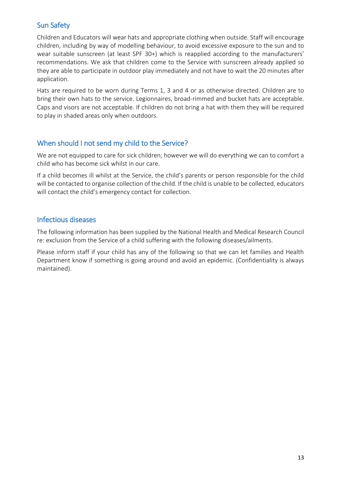# <span id="page-12-0"></span>Sun Safety

Children and Educators will wear hats and appropriate clothing when outside. Staff will encourage children, including by way of modelling behaviour, to avoid excessive exposure to the sun and to wear suitable sunscreen (at least SPF 30+) which is reapplied according to the manufacturers' recommendations. We ask that children come to the Service with sunscreen already applied so they are able to participate in outdoor play immediately and not have to wait the 20 minutes after application.

Hats are required to be worn during Terms 1, 3 and 4 or as otherwise directed. Children are to bring their own hats to the service. Legionnaires, broad-rimmed and bucket hats are acceptable. Caps and visors are not acceptable. If children do not bring a hat with them they will be required to play in shaded areas only when outdoors.

# <span id="page-12-1"></span>When should I not send my child to the Service?

We are not equipped to care for sick children; however we will do everything we can to comfort a child who has become sick whilst in our care.

If a child becomes ill whilst at the Service, the child's parents or person responsible for the child will be contacted to organise collection of the child. If the child is unable to be collected, educators will contact the child's emergency contact for collection.

# <span id="page-12-2"></span>Infectious diseases

The following information has been supplied by the National Health and Medical Research Council re: exclusion from the Service of a child suffering with the following diseases/ailments.

Please inform staff if your child has any of the following so that we can let families and Health Department know if something is going around and avoid an epidemic. (Confidentiality is always maintained).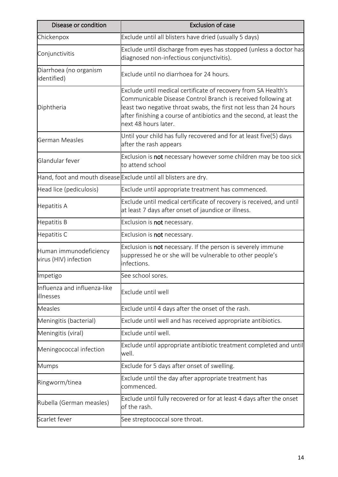| Disease or condition                            | <b>Exclusion of case</b>                                                                                                                                                                                                                                                                            |
|-------------------------------------------------|-----------------------------------------------------------------------------------------------------------------------------------------------------------------------------------------------------------------------------------------------------------------------------------------------------|
| Chickenpox                                      | Exclude until all blisters have dried (usually 5 days)                                                                                                                                                                                                                                              |
| Conjunctivitis                                  | Exclude until discharge from eyes has stopped (unless a doctor has<br>diagnosed non-infectious conjunctivitis).                                                                                                                                                                                     |
| Diarrhoea (no organism<br>identified)           | Exclude until no diarrhoea for 24 hours.                                                                                                                                                                                                                                                            |
| Diphtheria                                      | Exclude until medical certificate of recovery from SA Health's<br>Communicable Disease Control Branch is received following at<br>least two negative throat swabs, the first not less than 24 hours<br>after finishing a course of antibiotics and the second, at least the<br>next 48 hours later. |
| German Measles                                  | Until your child has fully recovered and for at least five(5) days<br>after the rash appears                                                                                                                                                                                                        |
| Glandular fever                                 | Exclusion is not necessary however some children may be too sick<br>to attend school                                                                                                                                                                                                                |
|                                                 | Hand, foot and mouth disease Exclude until all blisters are dry.                                                                                                                                                                                                                                    |
| Head lice (pediculosis)                         | Exclude until appropriate treatment has commenced.                                                                                                                                                                                                                                                  |
| Hepatitis A                                     | Exclude until medical certificate of recovery is received, and until<br>at least 7 days after onset of jaundice or illness.                                                                                                                                                                         |
| Hepatitis B                                     | Exclusion is <b>not</b> necessary.                                                                                                                                                                                                                                                                  |
| Hepatitis C                                     | Exclusion is <b>not</b> necessary.                                                                                                                                                                                                                                                                  |
| Human immunodeficiency<br>virus (HIV) infection | Exclusion is <b>not</b> necessary. If the person is severely immune<br>suppressed he or she will be vulnerable to other people's<br>infections.                                                                                                                                                     |
| Impetigo                                        | See school sores.                                                                                                                                                                                                                                                                                   |
| Influenza and influenza-like<br>illnesses       | Exclude until well                                                                                                                                                                                                                                                                                  |
| <b>Measles</b>                                  | Exclude until 4 days after the onset of the rash.                                                                                                                                                                                                                                                   |
| Meningitis (bacterial)                          | Exclude until well and has received appropriate antibiotics.                                                                                                                                                                                                                                        |
| Meningitis (viral)                              | Exclude until well.                                                                                                                                                                                                                                                                                 |
| Meningococcal infection                         | Exclude until appropriate antibiotic treatment completed and until<br>well.                                                                                                                                                                                                                         |
| <b>Mumps</b>                                    | Exclude for 5 days after onset of swelling.                                                                                                                                                                                                                                                         |
| Ringworm/tinea                                  | Exclude until the day after appropriate treatment has<br>commenced.                                                                                                                                                                                                                                 |
| Rubella (German measles)                        | Exclude until fully recovered or for at least 4 days after the onset<br>of the rash.                                                                                                                                                                                                                |
| Scarlet fever                                   | See streptococcal sore throat.                                                                                                                                                                                                                                                                      |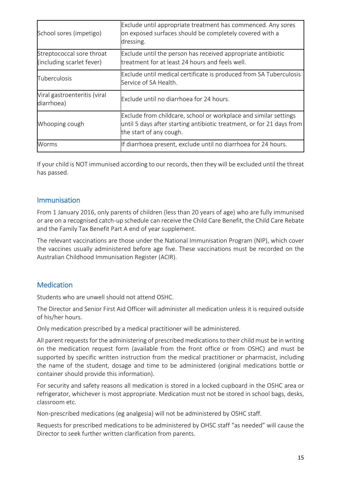| School sores (impetigo)                                | Exclude until appropriate treatment has commenced. Any sores<br>on exposed surfaces should be completely covered with a<br>dressing.                                 |
|--------------------------------------------------------|----------------------------------------------------------------------------------------------------------------------------------------------------------------------|
| Streptococcal sore throat<br>(including scarlet fever) | Exclude until the person has received appropriate antibiotic<br>treatment for at least 24 hours and feels well.                                                      |
| Tuberculosis                                           | Exclude until medical certificate is produced from SA Tuberculosis<br>Service of SA Health.                                                                          |
| Viral gastroenteritis (viral<br>diarrhoea)             | Exclude until no diarrhoea for 24 hours.                                                                                                                             |
| Whooping cough                                         | Exclude from childcare, school or workplace and similar settings<br>until 5 days after starting antibiotic treatment, or for 21 days from<br>the start of any cough. |
| Worms                                                  | If diarrhoea present, exclude until no diarrhoea for 24 hours.                                                                                                       |

If your child is NOT immunised according to our records, then they will be excluded until the threat has passed.

#### <span id="page-14-0"></span>Immunisation

From 1 January 2016, only parents of children (less than 20 years of age) who are fully immunised or are on a recognised catch-up schedule can receive the Child Care Benefit, the Child Care Rebate and the Family Tax Benefit Part A end of year supplement.

The relevant vaccinations are those under the National Immunisation Program (NIP), which cover the vaccines usually administered before age five. These vaccinations must be recorded on the Australian Childhood Immunisation Register (ACIR).

# <span id="page-14-1"></span>**Medication**

Students who are unwell should not attend OSHC.

The Director and Senior First Aid Officer will administer all medication unless it is required outside of his/her hours.

Only medication prescribed by a medical practitioner will be administered.

All parent requests for the administering of prescribed medications to their child must be in writing on the medication request form (available from the front office or from OSHC) and must be supported by specific written instruction from the medical practitioner or pharmacist, including the name of the student, dosage and time to be administered (original medications bottle or container should provide this information).

For security and safety reasons all medication is stored in a locked cupboard in the OSHC area or refrigerator, whichever is most appropriate. Medication must not be stored in school bags, desks, classroom etc.

Non-prescribed medications (eg analgesia) will not be administered by OSHC staff.

Requests for prescribed medications to be administered by OHSC staff "as needed" will cause the Director to seek further written clarification from parents.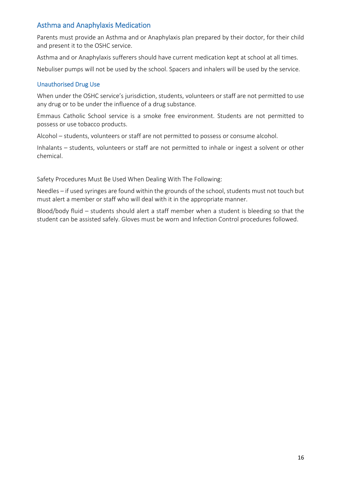# <span id="page-15-0"></span>Asthma and Anaphylaxis Medication

Parents must provide an Asthma and or Anaphylaxis plan prepared by their doctor, for their child and present it to the OSHC service.

Asthma and or Anaphylaxis sufferers should have current medication kept at school at all times.

Nebuliser pumps will not be used by the school. Spacers and inhalers will be used by the service.

#### <span id="page-15-1"></span>Unauthorised Drug Use

When under the OSHC service's jurisdiction, students, volunteers or staff are not permitted to use any drug or to be under the influence of a drug substance.

Emmaus Catholic School service is a smoke free environment. Students are not permitted to possess or use tobacco products.

Alcohol – students, volunteers or staff are not permitted to possess or consume alcohol.

Inhalants – students, volunteers or staff are not permitted to inhale or ingest a solvent or other chemical.

Safety Procedures Must Be Used When Dealing With The Following:

Needles – if used syringes are found within the grounds of the school, students must not touch but must alert a member or staff who will deal with it in the appropriate manner.

Blood/body fluid – students should alert a staff member when a student is bleeding so that the student can be assisted safely. Gloves must be worn and Infection Control procedures followed.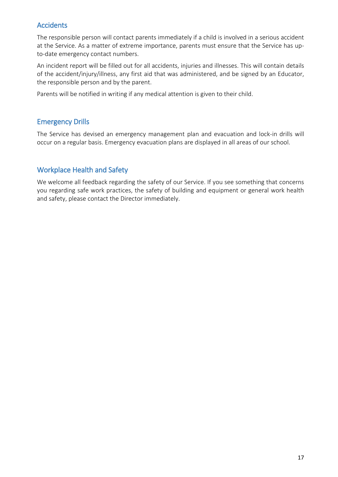# <span id="page-16-0"></span>Accidents

The responsible person will contact parents immediately if a child is involved in a serious accident at the Service. As a matter of extreme importance, parents must ensure that the Service has upto-date emergency contact numbers.

An incident report will be filled out for all accidents, injuries and illnesses. This will contain details of the accident/injury/illness, any first aid that was administered, and be signed by an Educator, the responsible person and by the parent.

Parents will be notified in writing if any medical attention is given to their child.

# <span id="page-16-1"></span>Emergency Drills

The Service has devised an emergency management plan and evacuation and lock-in drills will occur on a regular basis. Emergency evacuation plans are displayed in all areas of our school.

# <span id="page-16-2"></span>Workplace Health and Safety

We welcome all feedback regarding the safety of our Service. If you see something that concerns you regarding safe work practices, the safety of building and equipment or general work health and safety, please contact the Director immediately.